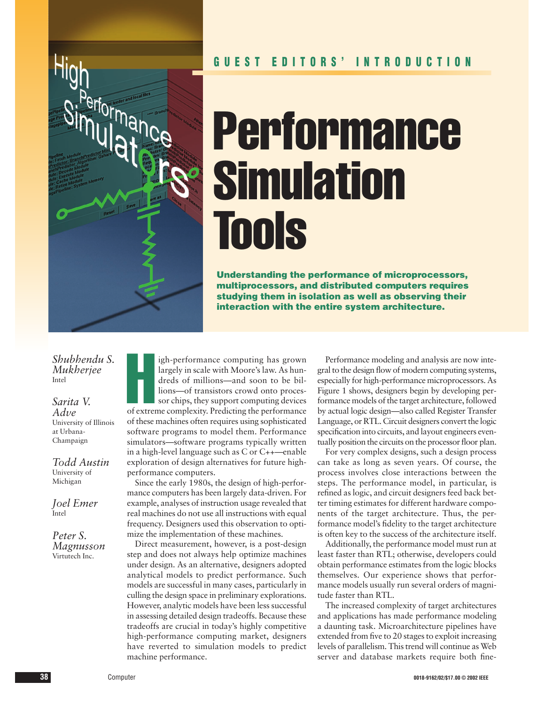

## **Performance Simulation Tools**

**Understanding the performance of microprocessors, multiprocessors, and distributed computers requires studying them in isolation as well as observing their interaction with the entire system architecture.**

*Shubhendu S. Mukherjee* Intel

High<br>Simulation

## *Sarita V. Adve*

University of Illinois at Urbana-Champaign

*Todd Austin* University of Michigan

*Joel Emer* ,<br>Intel

*Peter S. Magnusson* Virtutech Inc.

igh-performance computing has grown<br>largely in scale with Moore's law. As hun-<br>dreds of millions—and soon to be bil-<br>lions—of transistors crowd onto proces-<br>sor chips, they support computing devices<br>of extreme complexity. igh-performance computing has grown largely in scale with Moore's law. As hundreds of millions—and soon to be billions—of transistors crowd onto processor chips, they support computing devices of these machines often requires using sophisticated software programs to model them. Performance simulators—software programs typically written in a high-level language such as C or C++—enable exploration of design alternatives for future highperformance computers.

Since the early 1980s, the design of high-performance computers has been largely data-driven. For example, analyses of instruction usage revealed that real machines do not use all instructions with equal frequency. Designers used this observation to optimize the implementation of these machines.

Direct measurement, however, is a post-design step and does not always help optimize machines under design. As an alternative, designers adopted analytical models to predict performance. Such models are successful in many cases, particularly in culling the design space in preliminary explorations. However, analytic models have been less successful in assessing detailed design tradeoffs. Because these tradeoffs are crucial in today's highly competitive high-performance computing market, designers have reverted to simulation models to predict machine performance.

Performance modeling and analysis are now integral to the design flow of modern computing systems, especially for high-performance microprocessors. As Figure 1 shows, designers begin by developing performance models of the target architecture, followed by actual logic design—also called Register Transfer Language, or RTL. Circuit designers convert the logic specification into circuits, and layout engineers eventually position the circuits on the processor floor plan.

For very complex designs, such a design process can take as long as seven years. Of course, the process involves close interactions between the steps. The performance model, in particular, is refined as logic, and circuit designers feed back better timing estimates for different hardware components of the target architecture. Thus, the performance model's fidelity to the target architecture is often key to the success of the architecture itself.

Additionally, the performance model must run at least faster than RTL; otherwise, developers could obtain performance estimates from the logic blocks themselves. Our experience shows that performance models usually run several orders of magnitude faster than RTL.

The increased complexity of target architectures and applications has made performance modeling a daunting task. Microarchitecture pipelines have extended from five to 20 stages to exploit increasing levels of parallelism. This trend will continue as Web server and database markets require both fine